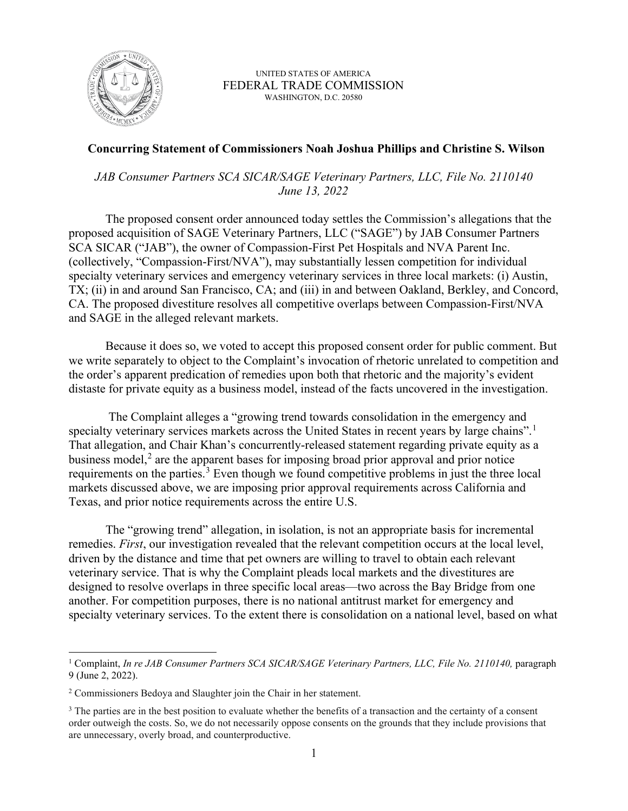

UNITED STATES OF AMERICA FEDERAL TRADE COMMISSION WASHINGTON, D.C. 20580

## **Concurring Statement of Commissioners Noah Joshua Phillips and Christine S. Wilson**

*JAB Consumer Partners SCA SICAR/SAGE Veterinary Partners, LLC, File No. 2110140 June 13, 2022*

The proposed consent order announced today settles the Commission's allegations that the proposed acquisition of SAGE Veterinary Partners, LLC ("SAGE") by JAB Consumer Partners SCA SICAR ("JAB"), the owner of Compassion-First Pet Hospitals and NVA Parent Inc. (collectively, "Compassion-First/NVA"), may substantially lessen competition for individual specialty veterinary services and emergency veterinary services in three local markets: (i) Austin, TX; (ii) in and around San Francisco, CA; and (iii) in and between Oakland, Berkley, and Concord, CA. The proposed divestiture resolves all competitive overlaps between Compassion-First/NVA and SAGE in the alleged relevant markets.

Because it does so, we voted to accept this proposed consent order for public comment. But we write separately to object to the Complaint's invocation of rhetoric unrelated to competition and the order's apparent predication of remedies upon both that rhetoric and the majority's evident distaste for private equity as a business model, instead of the facts uncovered in the investigation.

The Complaint alleges a "growing trend towards consolidation in the emergency and specialty veterinary services markets across the United States in recent years by large chains".<sup>[1](#page-0-0)</sup> That allegation, and Chair Khan's concurrently-released statement regarding private equity as a business model, $<sup>2</sup>$  $<sup>2</sup>$  $<sup>2</sup>$  are the apparent bases for imposing broad prior approval and prior notice</sup> requirements on the parties.<sup>[3](#page-0-2)</sup> Even though we found competitive problems in just the three local markets discussed above, we are imposing prior approval requirements across California and Texas, and prior notice requirements across the entire U.S.

The "growing trend" allegation, in isolation, is not an appropriate basis for incremental remedies. *First*, our investigation revealed that the relevant competition occurs at the local level, driven by the distance and time that pet owners are willing to travel to obtain each relevant veterinary service. That is why the Complaint pleads local markets and the divestitures are designed to resolve overlaps in three specific local areas—two across the Bay Bridge from one another. For competition purposes, there is no national antitrust market for emergency and specialty veterinary services. To the extent there is consolidation on a national level, based on what

<span id="page-0-0"></span><sup>&</sup>lt;sup>1</sup> Complaint, *In re JAB Consumer Partners SCA SICAR/SAGE Veterinary Partners, LLC, File No. 2110140, paragraph* 9 (June 2, 2022).

<span id="page-0-1"></span><sup>&</sup>lt;sup>2</sup> Commissioners Bedoya and Slaughter join the Chair in her statement.

<span id="page-0-2"></span><sup>&</sup>lt;sup>3</sup> The parties are in the best position to evaluate whether the benefits of a transaction and the certainty of a consent order outweigh the costs. So, we do not necessarily oppose consents on the grounds that they include provisions that are unnecessary, overly broad, and counterproductive.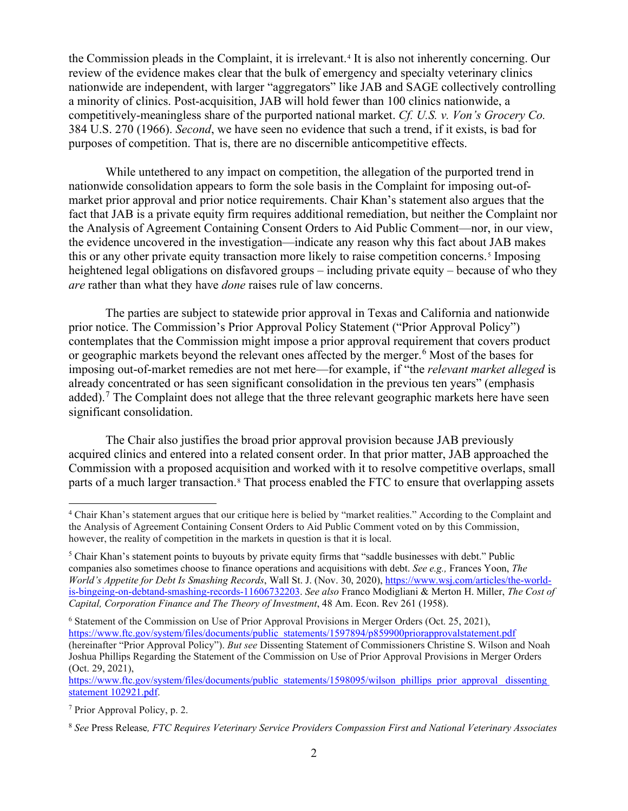the Commission pleads in the Complaint, it is irrelevant.[4](#page-1-0) It is also not inherently concerning. Our review of the evidence makes clear that the bulk of emergency and specialty veterinary clinics nationwide are independent, with larger "aggregators" like JAB and SAGE collectively controlling a minority of clinics. Post-acquisition, JAB will hold fewer than 100 clinics nationwide, a competitively-meaningless share of the purported national market. *Cf. U.S. v. Von's Grocery Co.* 384 U.S. 270 (1966). *Second*, we have seen no evidence that such a trend, if it exists, is bad for purposes of competition. That is, there are no discernible anticompetitive effects.

While untethered to any impact on competition, the allegation of the purported trend in nationwide consolidation appears to form the sole basis in the Complaint for imposing out-ofmarket prior approval and prior notice requirements. Chair Khan's statement also argues that the fact that JAB is a private equity firm requires additional remediation, but neither the Complaint nor the Analysis of Agreement Containing Consent Orders to Aid Public Comment—nor, in our view, the evidence uncovered in the investigation—indicate any reason why this fact about JAB makes this or any other private equity transaction more likely to raise competition concerns.[5](#page-1-1) Imposing heightened legal obligations on disfavored groups – including private equity – because of who they *are* rather than what they have *done* raises rule of law concerns.

The parties are subject to statewide prior approval in Texas and California and nationwide prior notice. The Commission's Prior Approval Policy Statement ("Prior Approval Policy") contemplates that the Commission might impose a prior approval requirement that covers product or geographic markets beyond the relevant ones affected by the merger.<sup>[6](#page-1-2)</sup> Most of the bases for imposing out-of-market remedies are not met here—for example, if "the *relevant market alleged* is already concentrated or has seen significant consolidation in the previous ten years" (emphasis added).<sup>[7](#page-1-3)</sup> The Complaint does not allege that the three relevant geographic markets here have seen significant consolidation.

The Chair also justifies the broad prior approval provision because JAB previously acquired clinics and entered into a related consent order. In that prior matter, JAB approached the Commission with a proposed acquisition and worked with it to resolve competitive overlaps, small parts of a much larger transaction.<sup>[8](#page-1-4)</sup> That process enabled the FTC to ensure that overlapping assets

https://www.ftc.gov/system/files/documents/public\_statements/1598095/wilson\_phillips\_prior\_approval\_ dissenting [statement 102921.pdf.](https://www.ftc.gov/system/files/documents/public_statements/1598095/wilson_phillips_prior_approval_%20dissenting%20statement%20102921.pdf)

<span id="page-1-3"></span><sup>7</sup> Prior Approval Policy, p. 2.

<span id="page-1-0"></span><sup>4</sup> Chair Khan's statement argues that our critique here is belied by "market realities." According to the Complaint and the Analysis of Agreement Containing Consent Orders to Aid Public Comment voted on by this Commission, however, the reality of competition in the markets in question is that it is local.

<span id="page-1-1"></span><sup>&</sup>lt;sup>5</sup> Chair Khan's statement points to buyouts by private equity firms that "saddle businesses with debt." Public companies also sometimes choose to finance operations and acquisitions with debt. *See e.g.,* Frances Yoon, *The World's Appetite for Debt Is Smashing Records*, Wall St. J. (Nov. 30, 2020)[, https://www.wsj.com/articles/the-world](https://www.wsj.com/articles/the-world-is-bingeing-on-debtand-smashing-records-11606732203)[is-bingeing-on-debtand-smashing-records-11606732203.](https://www.wsj.com/articles/the-world-is-bingeing-on-debtand-smashing-records-11606732203) *See also* Franco Modigliani & Merton H. Miller, *The Cost of Capital, Corporation Finance and The Theory of Investment*, 48 Am. Econ. Rev 261 (1958).

<span id="page-1-2"></span><sup>6</sup> Statement of the Commission on Use of Prior Approval Provisions in Merger Orders (Oct. 25, 2021), [https://www.ftc.gov/system/files/documents/public\\_statements/1597894/p859900priorapprovalstatement.pdf](https://www.ftc.gov/system/files/documents/public_statements/1597894/p859900priorapprovalstatement.pdf) (hereinafter "Prior Approval Policy"). *But see* Dissenting Statement of Commissioners Christine S. Wilson and Noah Joshua Phillips Regarding the Statement of the Commission on Use of Prior Approval Provisions in Merger Orders (Oct. 29, 2021),

<span id="page-1-4"></span><sup>8</sup> *See* Press Release*, FTC Requires Veterinary Service Providers Compassion First and National Veterinary Associates*